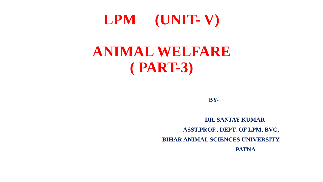# **LPM (UNIT- V) ANIMAL WELFARE**

**( PART-3)**

**BY-**

**DR. SANJAY KUMAR ASST.PROF., DEPT. OF LPM, BVC, BIHAR ANIMAL SCIENCES UNIVERSITY, PATNA**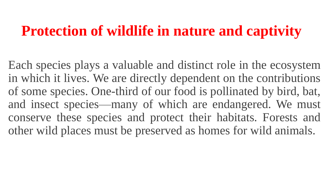### **Protection of wildlife in nature and captivity**

Each species plays a valuable and distinct role in the ecosystem in which it lives. We are directly dependent on the contributions of some species. One-third of our food is pollinated by bird, bat, and insect species—many of which are endangered. We must conserve these species and protect their habitats. Forests and other wild places must be preserved as homes for wild animals.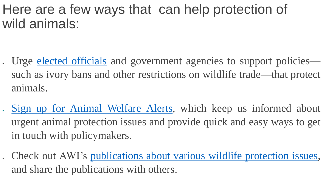#### Here are a few ways that can help protection of wild animals:

- Urge elected [officials](https://awionline.org/compassion-index#/legislators) and government agencies to support policies such as ivory bans and other restrictions on wildlife trade—that protect animals.
- Sign up for Animal [Welfare](https://awionline.org/compassion-index#/signup/go) Alerts, which keep us informed about urgent animal protection issues and provide quick and easy ways to get in touch with policymakers.
- Check out AWI's [publications](https://awionline.org/store/catalog/animal-welfare-publications/wildlife) about various wildlife protection issues, and share the publications with others.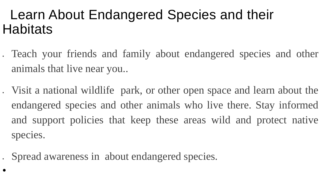### Learn About Endangered Species and their **Habitats**

- Teach your friends and family about endangered species and other animals that live near you..
- Visit a national wildlife park, or other open space and learn about the endangered species and other animals who live there. Stay informed and support policies that keep these areas wild and protect native species.
- Spread awareness in about endangered species.

•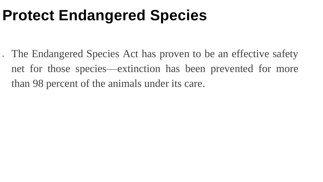## **Protect Endangered Species**

• The Endangered Species Act has proven to be an effective safety net for those species—extinction has been prevented for more than 98 percent of the animals under its care.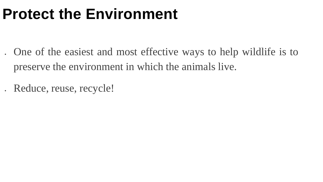# **Protect the Environment**

- One of the easiest and most effective ways to help wildlife is to preserve the environment in which the animals live.
- Reduce, reuse, recycle!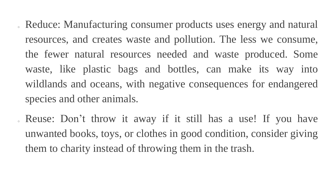- . Reduce: Manufacturing consumer products uses energy and natural resources, and creates waste and pollution. The less we consume, the fewer natural resources needed and waste produced. Some waste, like plastic bags and bottles, can make its way into wildlands and oceans, with negative consequences for endangered species and other animals.
- . Reuse: Don't throw it away if it still has a use! If you have unwanted books, toys, or clothes in good condition, consider giving them to charity instead of throwing them in the trash.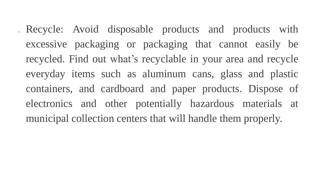<sup>o</sup> Recycle: Avoid disposable products and products with excessive packaging or packaging that cannot easily be recycled. Find out what's recyclable in your area and recycle everyday items such as aluminum cans, glass and plastic containers, and cardboard and paper products. Dispose of electronics and other potentially hazardous materials at municipal collection centers that will handle them properly.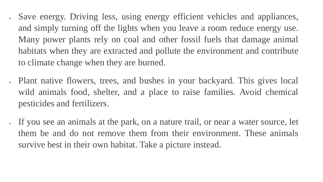- Save energy. Driving less, using energy efficient vehicles and appliances, and simply turning off the lights when you leave a room reduce energy use. Many power plants rely on coal and other fossil fuels that damage animal habitats when they are extracted and pollute the environment and contribute to climate change when they are burned.
- Plant native flowers, trees, and bushes in your backyard. This gives local wild animals food, shelter, and a place to raise families. Avoid chemical pesticides and fertilizers.
- If you see an animals at the park, on a nature trail, or near a water source, let them be and do not remove them from their environment. These animals survive best in their own habitat. Take a picture instead.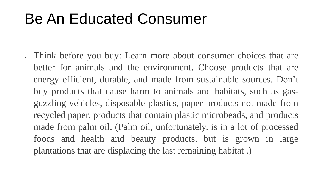### Be An Educated Consumer

• Think before you buy: Learn more about consumer choices that are better for animals and the environment. Choose products that are energy efficient, durable, and made from sustainable sources. Don't buy products that cause harm to animals and habitats, such as gasguzzling vehicles, disposable plastics, paper products not made from recycled paper, products that contain plastic microbeads, and products made from palm oil. (Palm oil, unfortunately, is in a lot of processed foods and health and beauty products, but is grown in large plantations that are displacing the last remaining habitat .)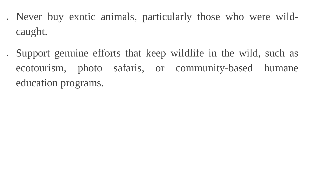• Never buy exotic animals, particularly those who were wildcaught.

• Support genuine efforts that keep wildlife in the wild, such as ecotourism, photo safaris, or community-based humane education programs.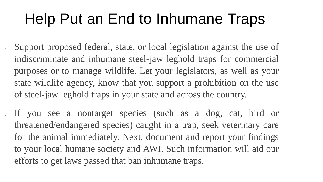# Help Put an End to Inhumane Traps

- Support proposed federal, state, or local legislation against the use of indiscriminate and inhumane steel-jaw leghold traps for commercial purposes or to manage wildlife. Let your legislators, as well as your state wildlife agency, know that you support a prohibition on the use of steel-jaw leghold traps in your state and across the country.
- If you see a nontarget species (such as a dog, cat, bird or threatened/endangered species) caught in a trap, seek veterinary care for the animal immediately. Next, document and report your findings to your local humane society and AWI. Such information will aid our efforts to get laws passed that ban inhumane traps.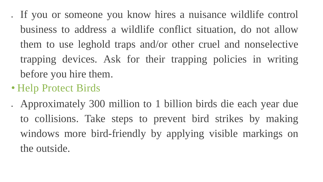• If you or someone you know hires a nuisance wildlife control business to address a wildlife conflict situation, do not allow them to use leghold traps and/or other cruel and nonselective trapping devices. Ask for their trapping policies in writing before you hire them.

#### • Help Protect Birds

• Approximately 300 million to 1 billion birds die each year due to collisions. Take steps to prevent bird strikes by making windows more bird-friendly by applying visible markings on the outside.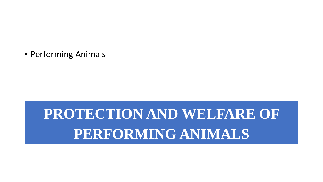• Performing Animals

# **PROTECTION AND WELFARE OF PERFORMING ANIMALS**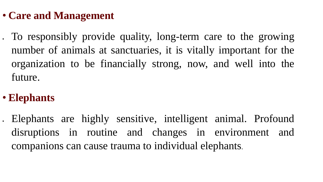#### • **Care and Management**

• To responsibly provide quality, long-term care to the growing number of animals at sanctuaries, it is vitally important for the organization to be financially strong, now, and well into the future.

#### • **Elephants**

• Elephants are highly sensitive, intelligent animal. Profound disruptions in routine and changes in environment and companions can cause trauma to individual elephants.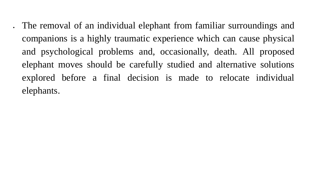• The removal of an individual elephant from familiar surroundings and companions is a highly traumatic experience which can cause physical and psychological problems and, occasionally, death. All proposed elephant moves should be carefully studied and alternative solutions explored before a final decision is made to relocate individual elephants.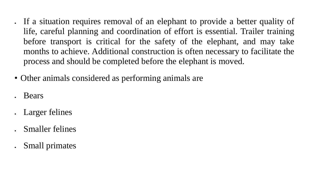- If a situation requires removal of an elephant to provide a better quality of life, careful planning and coordination of effort is essential. Trailer training before transport is critical for the safety of the elephant, and may take months to achieve. Additional construction is often necessary to facilitate the process and should be completed before the elephant is moved.
- Other animals considered as performing animals are
- Bears
- Larger felines
- Smaller felines
- Small primates